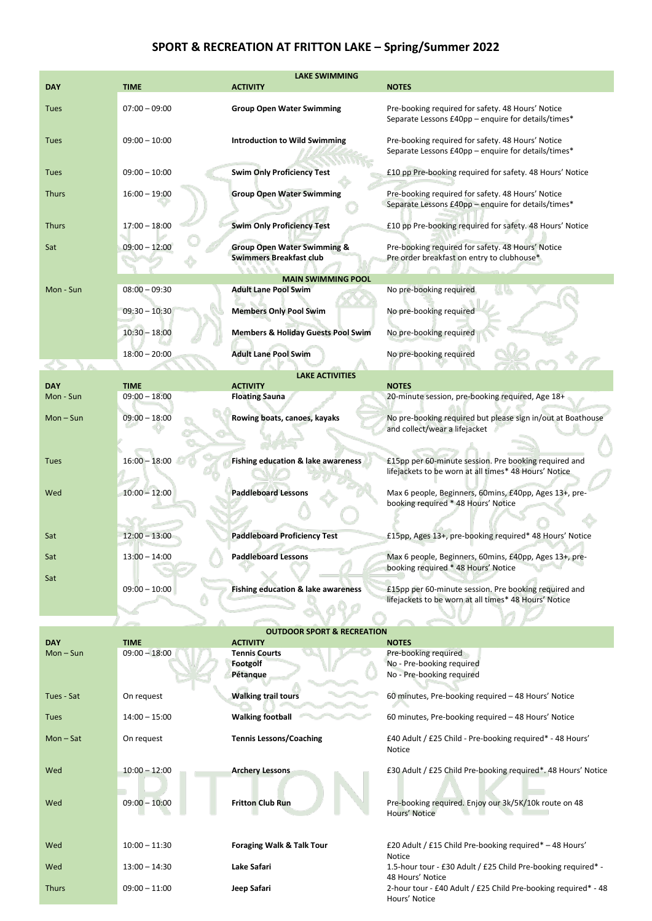## **SPORT & RECREATION AT FRITTON LAKE – Spring/Summer 2022**

| <b>LAKE SWIMMING</b> |                 |                                                                          |                                                                                                                |  |
|----------------------|-----------------|--------------------------------------------------------------------------|----------------------------------------------------------------------------------------------------------------|--|
| <b>DAY</b>           | TIME            | <b>ACTIVITY</b>                                                          | <b>NOTES</b>                                                                                                   |  |
| <b>Tues</b>          | $07:00 - 09:00$ | <b>Group Open Water Swimming</b>                                         | Pre-booking required for safety. 48 Hours' Notice<br>Separate Lessons £40pp - enquire for details/times*       |  |
| <b>Tues</b>          | $09:00 - 10:00$ | <b>Introduction to Wild Swimming</b>                                     | Pre-booking required for safety. 48 Hours' Notice<br>Separate Lessons £40pp - enquire for details/times*       |  |
| <b>Tues</b>          | $09:00 - 10:00$ | <b>Swim Only Proficiency Test</b>                                        | £10 pp Pre-booking required for safety. 48 Hours' Notice                                                       |  |
| <b>Thurs</b>         | $16:00 - 19:00$ | <b>Group Open Water Swimming</b>                                         | Pre-booking required for safety. 48 Hours' Notice<br>Separate Lessons £40pp - enquire for details/times*       |  |
| <b>Thurs</b>         | $17:00 - 18:00$ | <b>Swim Only Proficiency Test</b>                                        | £10 pp Pre-booking required for safety. 48 Hours' Notice                                                       |  |
| Sat                  | $09:00 - 12:00$ | <b>Group Open Water Swimming &amp;</b><br><b>Swimmers Breakfast club</b> | Pre-booking required for safety. 48 Hours' Notice<br>Pre order breakfast on entry to clubhouse*                |  |
|                      |                 | <b>MAIN SWIMMING POOL</b>                                                |                                                                                                                |  |
| Mon - Sun            | $08:00 - 09:30$ | <b>Adult Lane Pool Swim</b>                                              | No pre-booking required                                                                                        |  |
|                      | $09:30 - 10:30$ | <b>Members Only Pool Swim</b>                                            | No pre-booking required                                                                                        |  |
|                      | $10:30 - 18:00$ | <b>Members &amp; Holiday Guests Pool Swim</b>                            | No pre-booking required                                                                                        |  |
|                      | $18:00 - 20:00$ | <b>Adult Lane Pool Swim</b>                                              | No pre-booking required                                                                                        |  |
|                      |                 | <b>LAKE ACTIVITIES</b>                                                   |                                                                                                                |  |
| <b>DAY</b>           | <b>TIME</b>     | <b>ACTIVITY</b>                                                          | <b>NOTES</b>                                                                                                   |  |
| Mon - Sun            | $09:00 - 18:00$ | <b>Floating Sauna</b>                                                    | 20-minute session, pre-booking required, Age 18+                                                               |  |
| $Mon-Sun$            | $09:00 - 18:00$ | Rowing boats, canoes, kayaks                                             | No pre-booking required but please sign in/out at Boathouse<br>and collect/wear a lifejacket                   |  |
| <b>Tues</b>          | $16:00 - 18:00$ | Fishing education & lake awareness                                       | £15pp per 60-minute session. Pre booking required and<br>lifejackets to be worn at all times* 48 Hours' Notice |  |
| Wed                  | $10:00 - 12:00$ | <b>Paddleboard Lessons</b>                                               | Max 6 people, Beginners, 60mins, £40pp, Ages 13+, pre-<br>booking required * 48 Hours' Notice                  |  |
| Sat                  | $12:00 - 13:00$ | <b>Paddleboard Proficiency Test</b>                                      | £15pp, Ages 13+, pre-booking required* 48 Hours' Notice                                                        |  |
| sаt                  | $13:00 - 14:00$ | Paddieboard Lessons                                                      | Max 6 people, Beginners, 60mins, £40pp, Ages 13+, pre-<br>booking required * 48 Hours' Notice                  |  |
| Sat                  | $09:00 - 10:00$ | <b>Fishing education &amp; lake awareness</b>                            | £15pp per 60-minute session. Pre booking required and<br>lifejackets to be worn at all times* 48 Hours' Notice |  |
|                      |                 |                                                                          |                                                                                                                |  |
|                      |                 | <b>OUTDOOR SPORT &amp; RECREATION</b>                                    |                                                                                                                |  |
| <b>DAY</b>           | <b>TIME</b>     | <b>ACTIVITY</b>                                                          | <b>NOTES</b>                                                                                                   |  |
| $Mon-Sun$            | $09:00 - 18:00$ | <b>Tennis Courts</b><br><b>Footgolf</b><br>Pétanque                      | Pre-booking required<br>No - Pre-booking required<br>No - Pre-booking required                                 |  |
| Tues - Sat           | On request      | <b>Walking trail tours</b>                                               | 60 minutes, Pre-booking required - 48 Hours' Notice                                                            |  |
| <b>Tues</b>          | $14:00 - 15:00$ | <b>Walking football</b>                                                  | 60 minutes, Pre-booking required - 48 Hours' Notice                                                            |  |
| $Mon-Sat$            | On request      | <b>Tennis Lessons/Coaching</b>                                           | £40 Adult / £25 Child - Pre-booking required* - 48 Hours'<br>Notice                                            |  |
| Wed                  | $10:00 - 12:00$ | <b>Archery Lessons</b>                                                   | £30 Adult / £25 Child Pre-booking required*. 48 Hours' Notice                                                  |  |
| Wed                  | $09:00 - 10:00$ | <b>Fritton Club Run</b>                                                  | Pre-booking required. Enjoy our 3k/5K/10k route on 48<br>Hours' Notice                                         |  |
| Wed                  | $10:00 - 11:30$ | <b>Foraging Walk &amp; Talk Tour</b>                                     | £20 Adult / £15 Child Pre-booking required* - 48 Hours'                                                        |  |
| Wed                  | $13:00 - 14:30$ | Lake Safari                                                              | Notice<br>1.5-hour tour - £30 Adult / £25 Child Pre-booking required* -<br>48 Hours' Notice                    |  |
| <b>Thurs</b>         | $09:00 - 11:00$ | Jeep Safari                                                              | 2-hour tour - £40 Adult / £25 Child Pre-booking required* - 48<br>Hours' Notice                                |  |